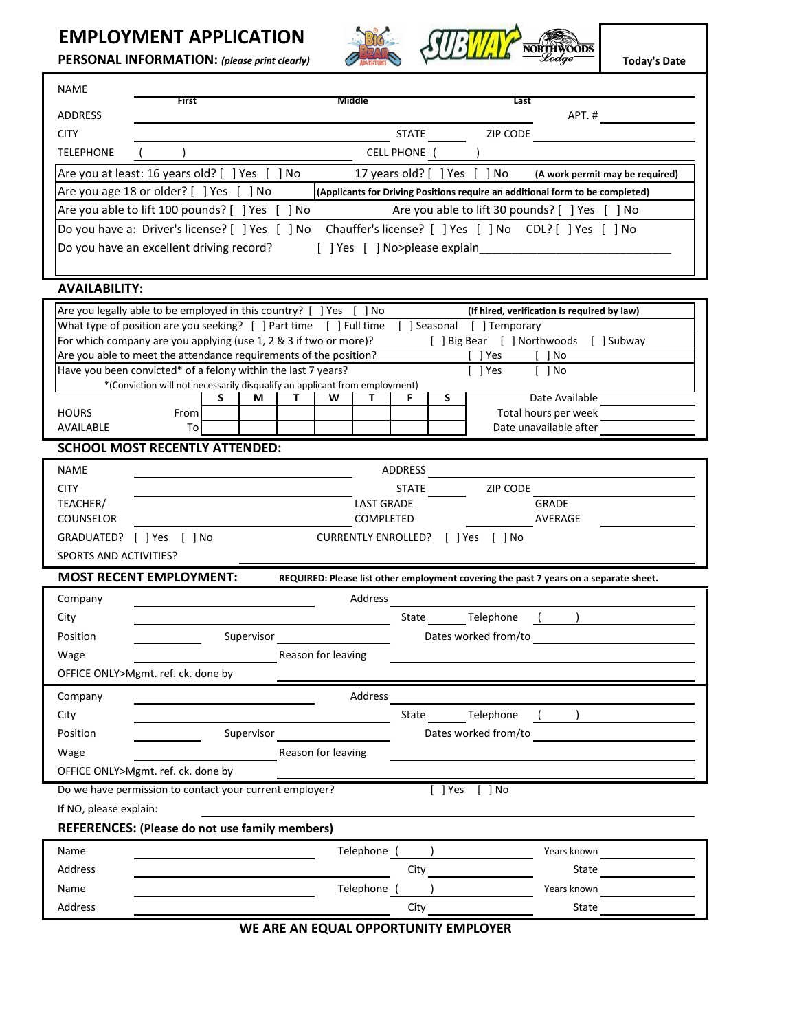## **EMPLOYMENT APPLICATION**

**Today's Date**

| <b>EMPLOYMENT APPLICATION</b><br>PERSONAL INFORMATION: (please print clearly)                                                                                  |       |   |   |   |   |                   |                |              |                                    |          |                                             |       | Today's Dat                     |
|----------------------------------------------------------------------------------------------------------------------------------------------------------------|-------|---|---|---|---|-------------------|----------------|--------------|------------------------------------|----------|---------------------------------------------|-------|---------------------------------|
| <b>NAME</b>                                                                                                                                                    |       |   |   |   |   |                   |                |              |                                    |          |                                             |       |                                 |
| ADDRESS                                                                                                                                                        | First |   |   |   |   | Middle            |                |              |                                    | Last     |                                             | APT.# |                                 |
| <b>CITY</b>                                                                                                                                                    |       |   |   |   |   |                   | <b>STATE</b>   |              |                                    | ZIP CODE |                                             |       |                                 |
| <b>TELEPHONE</b>                                                                                                                                               |       |   |   |   |   |                   | CELL PHONE ( ) |              |                                    |          |                                             |       |                                 |
| Are you at least: 16 years old? [ ] Yes [ ] No                                                                                                                 |       |   |   |   |   |                   |                |              | 17 years old? [ ] Yes [ ] No       |          |                                             |       | (A work permit may be required) |
| Are you age 18 or older? [ ] Yes [ ] No<br>(Applicants for Driving Positions require an additional form to be completed)                                       |       |   |   |   |   |                   |                |              |                                    |          |                                             |       |                                 |
| Are you able to lift 100 pounds? [ ] Yes [ ] No<br>Are you able to lift 30 pounds? [ ] Yes [ ] No                                                              |       |   |   |   |   |                   |                |              |                                    |          |                                             |       |                                 |
| Do you have a: Driver's license? [ ] Yes [ ] No Chauffer's license? [ ] Yes [ ] No CDL? [ ] Yes [ ] No                                                         |       |   |   |   |   |                   |                |              |                                    |          |                                             |       |                                 |
| Do you have an excellent driving record?                                                                                                                       |       |   |   |   |   |                   |                |              | [ ] Yes [ ] No>please explain      |          |                                             |       |                                 |
|                                                                                                                                                                |       |   |   |   |   |                   |                |              |                                    |          |                                             |       |                                 |
| <b>AVAILABILITY:</b>                                                                                                                                           |       |   |   |   |   |                   |                |              |                                    |          |                                             |       |                                 |
| Are you legally able to be employed in this country? [ ] Yes [ ] No                                                                                            |       |   |   |   |   |                   |                |              |                                    |          | (If hired, verification is required by law) |       |                                 |
| What type of position are you seeking? [ ] Part time [ ] Full time<br>] Seasonal [ ] Temporary                                                                 |       |   |   |   |   |                   |                |              |                                    |          |                                             |       |                                 |
| For which company are you applying (use 1, 2 & 3 if two or more)?<br>[ ] Big Bear [ ] Northwoods<br>1 Subway                                                   |       |   |   |   |   |                   |                |              |                                    |          |                                             |       |                                 |
| Are you able to meet the attendance requirements of the position?<br>1 Yes<br>1 No                                                                             |       |   |   |   |   |                   |                |              |                                    |          |                                             |       |                                 |
| Have you been convicted* of a felony within the last 7 years?<br>I lYes<br>[ ]No<br>*(Conviction will not necessarily disqualify an applicant from employment) |       |   |   |   |   |                   |                |              |                                    |          |                                             |       |                                 |
|                                                                                                                                                                |       | s | М | т | W | т                 | F              | S            |                                    |          | Date Available                              |       |                                 |
| <b>HOURS</b>                                                                                                                                                   | From  |   |   |   |   |                   |                |              |                                    |          | Total hours per week                        |       |                                 |
| AVAILABLE                                                                                                                                                      | To    |   |   |   |   |                   |                |              |                                    |          | Date unavailable after                      |       |                                 |
| <b>SCHOOL MOST RECENTLY ATTENDED:</b>                                                                                                                          |       |   |   |   |   |                   |                |              |                                    |          |                                             |       |                                 |
| <b>NAME</b>                                                                                                                                                    |       |   |   |   |   |                   | ADDRESS        |              |                                    |          |                                             |       |                                 |
| <b>CITY</b>                                                                                                                                                    |       |   |   |   |   |                   |                | <b>STATE</b> | <b>ZIP CODE</b>                    |          |                                             |       |                                 |
| TEACHER/                                                                                                                                                       |       |   |   |   |   | <b>LAST GRADE</b> |                |              |                                    |          | <b>GRADE</b>                                |       |                                 |
| <b>COUNSELOR</b>                                                                                                                                               |       |   |   |   |   | COMPLETED         |                |              |                                    |          | AVERAGE                                     |       |                                 |
| GRADUATED? [ ] Yes [ ] No                                                                                                                                      |       |   |   |   |   |                   |                |              | CURRENTLY ENROLLED? [ ] Yes [ ] No |          |                                             |       |                                 |
| SPORTS AND ACTIVITIES?                                                                                                                                         |       |   |   |   |   |                   |                |              |                                    |          |                                             |       |                                 |
| <b>MOST RECENT EMPLOYMENT:</b><br>REQUIRED: Please list other employment covering the past 7 years on a separate sheet.                                        |       |   |   |   |   |                   |                |              |                                    |          |                                             |       |                                 |

| Company                            |                                                         | Address |                      |  |  |  |
|------------------------------------|---------------------------------------------------------|---------|----------------------|--|--|--|
| City                               |                                                         | State   | Telephone            |  |  |  |
| Position                           | Supervisor                                              |         | Dates worked from/to |  |  |  |
| Wage                               | Reason for leaving                                      |         |                      |  |  |  |
| OFFICE ONLY>Mgmt. ref. ck. done by |                                                         |         |                      |  |  |  |
| Company                            |                                                         | Address |                      |  |  |  |
| City                               |                                                         | State   | Telephone            |  |  |  |
| Position                           | Supervisor                                              |         | Dates worked from/to |  |  |  |
| Wage                               | Reason for leaving                                      |         |                      |  |  |  |
| OFFICE ONLY>Mgmt. ref. ck. done by |                                                         |         |                      |  |  |  |
|                                    | Do we have permission to contact your current employer? |         | Yes<br>[  No         |  |  |  |
| If NO, please explain:             |                                                         |         |                      |  |  |  |
|                                    | <b>REFERENCES: (Please do not use family members)</b>   |         |                      |  |  |  |

| Name    | Telephone | Years known |
|---------|-----------|-------------|
| Address | City      | State       |
| Name    | Telephone | Years known |
| Address | City      | State       |

**WE ARE AN EQUAL OPPORTUNITY EMPLOYER**